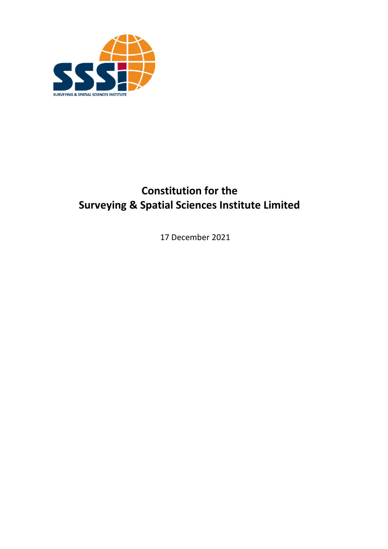

# **Constitution for the Surveying & Spatial Sciences Institute Limited**

17 December 2021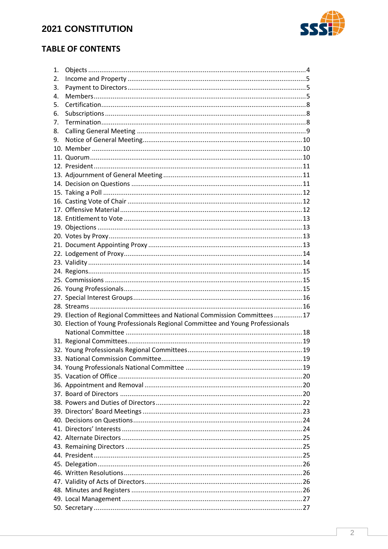

# <span id="page-1-0"></span>**TABLE OF CONTENTS**

| 1. |                                                                                |  |
|----|--------------------------------------------------------------------------------|--|
| 2. |                                                                                |  |
| 3. |                                                                                |  |
| 4. |                                                                                |  |
| 5. |                                                                                |  |
| 6. |                                                                                |  |
| 7. |                                                                                |  |
| 8. |                                                                                |  |
| 9. |                                                                                |  |
|    |                                                                                |  |
|    |                                                                                |  |
|    |                                                                                |  |
|    |                                                                                |  |
|    |                                                                                |  |
|    |                                                                                |  |
|    |                                                                                |  |
|    |                                                                                |  |
|    |                                                                                |  |
|    |                                                                                |  |
|    |                                                                                |  |
|    |                                                                                |  |
|    |                                                                                |  |
|    |                                                                                |  |
|    |                                                                                |  |
|    |                                                                                |  |
|    |                                                                                |  |
|    |                                                                                |  |
|    |                                                                                |  |
|    |                                                                                |  |
|    |                                                                                |  |
|    | 29. Election of Regional Committees and National Commission Committees  17     |  |
|    | 30. Election of Young Professionals Regional Committee and Young Professionals |  |
|    |                                                                                |  |
|    |                                                                                |  |
|    |                                                                                |  |
|    |                                                                                |  |
|    |                                                                                |  |
|    |                                                                                |  |
|    |                                                                                |  |
|    |                                                                                |  |
|    |                                                                                |  |
|    |                                                                                |  |
|    |                                                                                |  |
|    |                                                                                |  |
|    |                                                                                |  |
|    |                                                                                |  |
|    |                                                                                |  |
|    |                                                                                |  |
|    |                                                                                |  |
|    |                                                                                |  |
|    |                                                                                |  |
|    |                                                                                |  |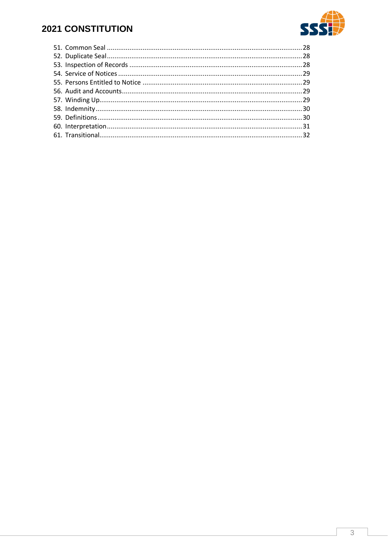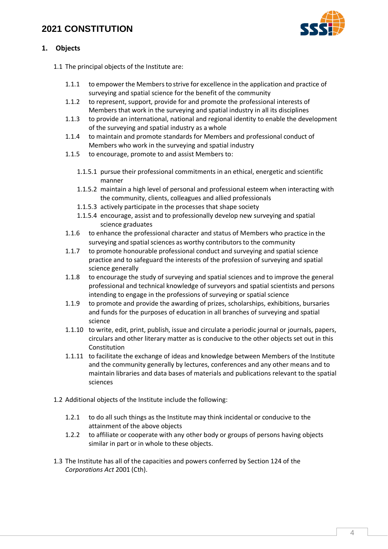

# **1. Objects**

- 1.1 The principal objects of the Institute are:
	- 1.1.1 to empower the Members to strive for excellence in the application and practice of surveying and spatial science for the benefit of the community
	- 1.1.2 to represent, support, provide for and promote the professional interests of Members that work in the surveying and spatial industry in all its disciplines
	- 1.1.3 to provide an international, national and regional identity to enable the development of the surveying and spatial industry as a whole
	- 1.1.4 to maintain and promote standards for Members and professional conduct of Members who work in the surveying and spatial industry
	- 1.1.5 to encourage, promote to and assist Members to:
		- 1.1.5.1 pursue their professional commitments in an ethical, energetic and scientific manner
		- 1.1.5.2 maintain a high level of personal and professional esteem when interacting with the community, clients, colleagues and allied professionals
		- 1.1.5.3 actively participate in the processes that shape society
		- 1.1.5.4 encourage, assist and to professionally develop new surveying and spatial science graduates
	- 1.1.6 to enhance the professional character and status of Members who practice in the surveying and spatial sciences as worthy contributors to the community
	- 1.1.7 to promote honourable professional conduct and surveying and spatial science practice and to safeguard the interests of the profession of surveying and spatial science generally
	- 1.1.8 to encourage the study of surveying and spatial sciences and to improve the general professional and technical knowledge of surveyors and spatial scientists and persons intending to engage in the professions of surveying or spatial science
	- 1.1.9 to promote and provide the awarding of prizes, scholarships, exhibitions, bursaries and funds for the purposes of education in all branches of surveying and spatial science
	- 1.1.10 to write, edit, print, publish, issue and circulate a periodic journal or journals, papers, circulars and other literary matter as is conducive to the other objects set out in this Constitution
	- 1.1.11 to facilitate the exchange of ideas and knowledge between Members of the Institute and the community generally by lectures, conferences and any other means and to maintain libraries and data bases of materials and publications relevant to the spatial sciences
- 1.2 Additional objects of the Institute include the following:
	- 1.2.1 to do all such things as the Institute may think incidental or conducive to the attainment of the above objects
	- 1.2.2 to affiliate or cooperate with any other body or groups of persons having objects similar in part or in whole to these objects.
- 1.3 The Institute has all of the capacities and powers conferred by Section 124 of the *Corporations Act* 2001 (Cth).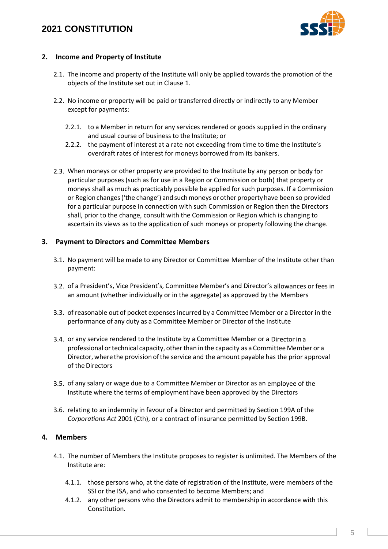

### **2. Income and Property of Institute**

- 2.1. The income and property of the Institute will only be applied towards the promotion of the objects of the Institute set out in Clause [1.](#page-1-0)
- 2.2. No income or property will be paid or transferred directly or indirectly to any Member except for payments:
	- 2.2.1. to a Member in return for any services rendered or goods supplied in the ordinary and usual course of business to the Institute; or
	- 2.2.2. the payment of interest at a rate not exceeding from time to time the Institute's overdraft rates of interest for moneys borrowed from its bankers.
- 2.3. When moneys or other property are provided to the Institute by any person or body for particular purposes (such as for use in a Region or Commission or both) that property or moneys shall as much as practicably possible be applied for such purposes. If a Commission or Region changes ('the change') and such moneys or other property have been so provided for a particular purpose in connection with such Commission or Region then the Directors shall, prior to the change, consult with the Commission or Region which is changing to ascertain its views as to the application of such moneys or property following the change.

### **3. Payment to Directors and Committee Members**

- 3.1. No payment will be made to any Director or Committee Member of the Institute other than payment:
- 3.2. of a President's, Vice President's, Committee Member's and Director's allowances or fees in an amount (whether individually or in the aggregate) as approved by the Members
- 3.3. of reasonable out of pocket expenses incurred by a Committee Member or a Director in the performance of any duty as a Committee Member or Director of the Institute
- 3.4. or any service rendered to the Institute by a Committee Member or a Directorin a professional ortechnical capacity, other than in the capacity as a Committee Member or a Director, where the provision ofthe service and the amount payable has the prior approval of the Directors
- 3.5. of any salary or wage due to a Committee Member or Director as an employee of the Institute where the terms of employment have been approved by the Directors
- 3.6. relating to an indemnity in favour of a Director and permitted by Section 199A of the *Corporations Act* 2001 (Cth), or a contract of insurance permitted by Section 199B.

### **4. Members**

- 4.1. The number of Members the Institute proposes to register is unlimited. The Members of the Institute are:
	- 4.1.1. those persons who, at the date of registration of the Institute, were members of the SSI or the ISA, and who consented to become Members; and
	- 4.1.2. any other persons who the Directors admit to membership in accordance with this Constitution.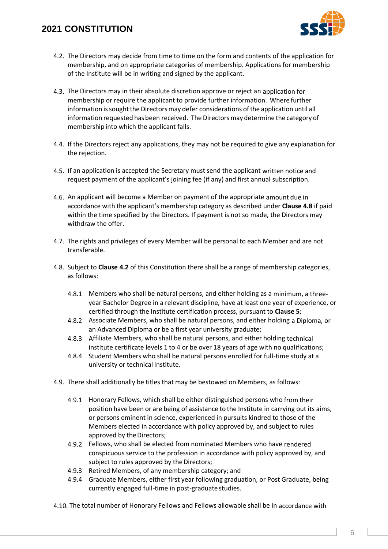

- <span id="page-5-1"></span>4.2. The Directors may decide from time to time on the form and contents of the application for membership, and on appropriate categories of membership. Applications for membership of the Institute will be in writing and signed by the applicant.
- <span id="page-5-2"></span>4.3. The Directors may in their absolute discretion approve or reject an application for membership or require the applicant to provide further information. Where further information is sought the Directors may defer considerations of the application until all information requested hasbeen received. The Directorsmay determine the category of membership into which the applicant falls.
- 4.4. If the Directors reject any applications, they may not be required to give any explanation for the rejection.
- 4.5. If an application is accepted the Secretary must send the applicant written notice and request payment of the applicant's joining fee (if any) and first annual subscription.
- 4.6. An applicant will become a Member on payment of the appropriate amount due in accordance with the applicant's membership category as described under **Clause [4.8](#page-5-0)** if paid within the time specified by the Directors. If payment is not so made, the Directors may withdraw the offer.
- 4.7. The rights and privileges of every Member will be personal to each Member and are not transferable.
- <span id="page-5-0"></span>4.8. Subject to **Clause [4.2](#page-5-1)** of this Constitution there shall be a range of membership categories, as follows:
	- 4.8.1 Members who shall be natural persons, and either holding as a minimum, a threeyear Bachelor Degree in a relevant discipline, have at least one year of experience, or certified through the Institute certification process, pursuant to **Clause [5](#page-6-0)**;
	- 4.8.2 Associate Members, who shall be natural persons, and either holding a Diploma, or an Advanced Diploma or be a first year university graduate;
	- 4.8.3 Affiliate Members, who shall be natural persons, and either holding technical institute certificate levels 1 to 4 or be over 18 years of age with no qualifications;
	- 4.8.4 Student Members who shall be natural persons enrolled for full-time study at a university or technical institute.
- 4.9. There shall additionally be titles that may be bestowed on Members, as follows:
	- 4.9.1 Honorary Fellows, which shall be either distinguished persons who from their position have been or are being of assistance to the Institute in carrying out its aims, or persons eminent in science, experienced in pursuits kindred to those of the Members elected in accordance with policy approved by, and subject to rules approved by the Directors;
	- 4.9.2 Fellows, who shall be elected from nominated Members who have rendered conspicuous service to the profession in accordance with policy approved by, and subject to rules approved by the Directors;
	- 4.9.3 Retired Members, of any membership category; and
	- 4.9.4 Graduate Members, either first year following graduation, or Post Graduate, being currently engaged full-time in post-graduate studies.
- 4.10. The total number of Honorary Fellows and Fellows allowable shall be in accordance with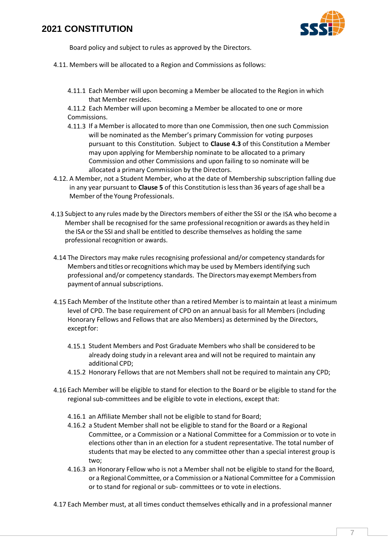

Board policy and subject to rules as approved by the Directors.

- 4.11. Members will be allocated to a Region and Commissions as follows:
	- 4.11.1 Each Member will upon becoming a Member be allocated to the Region in which that Member resides.
	- 4.11.2 Each Member will upon becoming a Member be allocated to one or more Commissions.
	- 4.11.3 If a Member is allocated to more than one Commission, then one such Commission will be nominated as the Member's primary Commission for voting purposes pursuant to this Constitution. Subject to **Clause [4.3](#page-5-2)** of this Constitution a Member may upon applying for Membership nominate to be allocated to a primary Commission and other Commissions and upon failing to so nominate will be allocated a primary Commission by the Directors.
- 4.12. A Member, not a Student Member, who at the date of Membership subscription falling due in any year pursuant to **Clause [5](#page-6-0)** of this Constitution islessthan 36 years of age shall be a Member of the Young Professionals.
- 4.13 Subject to any rules made by the Directors members of either the SSI or the ISA who become a Member shall be recognised for the same professional recognition or awards as they held in the ISA or the SSI and shall be entitled to describe themselves as holding the same professional recognition or awards.
- 4.14 The Directors may make rules recognising professional and/or competency standardsfor Members and titles or recognitions which may be used by Members identifying such professional and/or competency standards. The Directorsmay exempt Membersfrom paymentof annual subscriptions.
- <span id="page-6-1"></span>4.15 Each Member of the Institute other than a retired Member is to maintain at least a minimum level of CPD. The base requirement of CPD on an annual basis for all Members (including Honorary Fellows and Fellows that are also Members) as determined by the Directors, exceptfor:
	- 4.15.1 Student Members and Post Graduate Members who shall be considered to be already doing study in a relevant area and will not be required to maintain any additional CPD;
	- 4.15.2 Honorary Fellows that are not Members shall not be required to maintain any CPD;
- 4.16 Each Member will be eligible to stand for election to the Board or be eligible to stand for the regional sub-committees and be eligible to vote in elections, except that:
	- 4.16.1 an Affiliate Member shall not be eligible to stand for Board;
	- 4.16.2 a Student Member shall not be eligible to stand for the Board or a Regional Committee, or a Commission or a National Committee for a Commission or to vote in elections other than in an election for a student representative. The total number of students that may be elected to any committee other than a special interest group is two;
	- 4.16.3 an Honorary Fellow who is not a Member shall not be eligible to stand for the Board, or a Regional Committee, or a Commission or a National Committee for a Commission or to stand for regional or sub- committees or to vote in elections.
- <span id="page-6-0"></span>4.17 Each Member must, at all times conduct themselves ethically and in a professional manner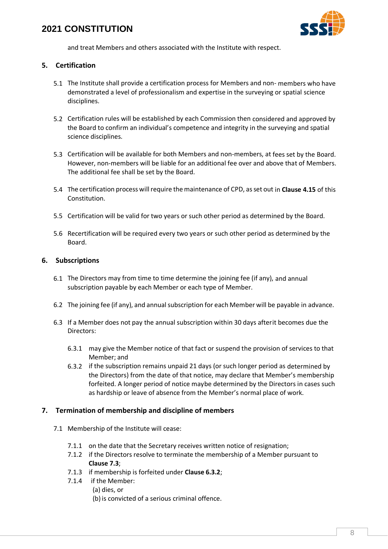

and treat Members and others associated with the Institute with respect.

### **5. Certification**

- 5.1 The Institute shall provide a certification process for Members and non- members who have demonstrated a level of professionalism and expertise in the surveying or spatial science disciplines.
- 5.2 Certification rules will be established by each Commission then considered and approved by the Board to confirm an individual's competence and integrity in the surveying and spatial science disciplines.
- 5.3 Certification will be available for both Members and non-members, at fees set by the Board. However, non-members will be liable for an additional fee over and above that of Members. The additional fee shall be set by the Board.
- 5.4 The certification process willrequire themaintenance of CPD, asset out in **Clause [4.15](#page-6-1)** of this Constitution.
- 5.5 Certification will be valid for two years or such other period as determined by the Board.
- 5.6 Recertification will be required every two years or such other period as determined by the Board.

### **6. Subscriptions**

- 6.1 The Directors may from time to time determine the joining fee (if any), and annual subscription payable by each Member or each type of Member.
- 6.2 The joining fee (if any), and annual subscription for each Member will be payable in advance.
- <span id="page-7-0"></span>6.3 If a Member does not pay the annual subscription within 30 days afterit becomes due the Directors:
	- 6.3.1 may give the Member notice of that fact or suspend the provision of services to that Member; and
	- 6.3.2 if the subscription remains unpaid 21 days (or such longer period as determined by the Directors) from the date of that notice, may declare that Member's membership forfeited. A longer period of notice maybe determined by the Directors in cases such as hardship or leave of absence from the Member's normal place of work.

### **7. Termination of membership and discipline of members**

- 7.1 Membership of the Institute will cease:
	- 7.1.1 on the date that the Secretary receives written notice of resignation;
	- 7.1.2 if the Directors resolve to terminate the membership of a Member pursuant to **Clause [7.3](#page-8-0)**;
	- 7.1.3 if membership is forfeited under **Clause [6.3.2](#page-7-0)**;
	- 7.1.4 if the Member:
		- (a) dies, or
		- (b) is convicted of a serious criminal offence.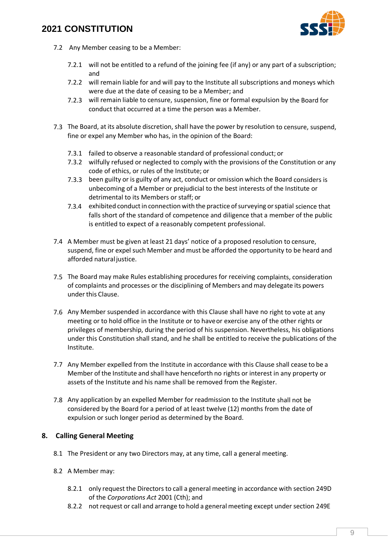

- 7.2 Any Member ceasing to be a Member:
	- 7.2.1 will not be entitled to a refund of the joining fee (if any) or any part of a subscription; and
	- 7.2.2 will remain liable for and will pay to the Institute all subscriptions and moneys which were due at the date of ceasing to be a Member; and
	- 7.2.3 will remain liable to censure, suspension, fine or formal expulsion by the Board for conduct that occurred at a time the person was a Member.
- <span id="page-8-0"></span>7.3 The Board, at its absolute discretion, shall have the power by resolution to censure, suspend, fine or expel any Member who has, in the opinion of the Board:
	- 7.3.1 failed to observe a reasonable standard of professional conduct; or
	- 7.3.2 wilfully refused or neglected to comply with the provisions of the Constitution or any code of ethics, or rules of the Institute; or
	- 7.3.3 been guilty or is guilty of any act, conduct or omission which the Board considers is unbecoming of a Member or prejudicial to the best interests of the Institute or detrimental to its Members or staff; or
	- 7.3.4 exhibited conductin connection with the practice ofsurveying orspatial science that falls short of the standard of competence and diligence that a member of the public is entitled to expect of a reasonably competent professional.
- 7.4 A Member must be given at least 21 days' notice of a proposed resolution to censure, suspend, fine or expel such Member and must be afforded the opportunity to be heard and afforded natural justice.
- 7.5 The Board may make Rules establishing procedures for receiving complaints, consideration of complaints and processes or the disciplining of Members and may delegate its powers under this Clause.
- 7.6 Any Member suspended in accordance with this Clause shall have no right to vote at any meeting or to hold office in the Institute or to haveor exercise any of the other rights or privileges of membership, during the period of his suspension. Nevertheless, his obligations under this Constitution shall stand, and he shall be entitled to receive the publications of the Institute.
- 7.7 Any Member expelled from the Institute in accordance with this Clause shall cease to be a Member of the Institute and shall have henceforth no rights or interest in any property or assets of the Institute and his name shall be removed from the Register.
- 7.8 Any application by an expelled Member for readmission to the Institute shall not be considered by the Board for a period of at least twelve (12) months from the date of expulsion or such longer period as determined by the Board.

### **8. Calling General Meeting**

- 8.1 The President or any two Directors may, at any time, call a general meeting.
- <span id="page-8-1"></span>8.2 A Member may:
	- 8.2.1 only request the Directorsto call a general meeting in accordance with section 249D of the *Corporations Act* 2001 (Cth); and
	- 8.2.2 not request or call and arrange to hold a general meeting except under section 249E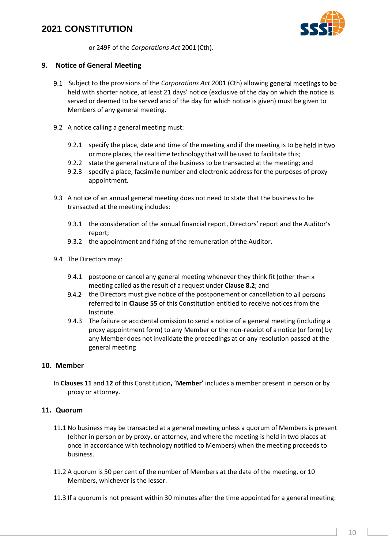

or 249F of the *Corporations Act* 2001 (Cth).

### **9. Notice of General Meeting**

- 9.1 Subject to the provisions of the *Corporations Act* 2001 (Cth) allowing general meetings to be held with shorter notice, at least 21 days' notice (exclusive of the day on which the notice is served or deemed to be served and of the day for which notice is given) must be given to Members of any general meeting.
- 9.2 A notice calling a general meeting must:
	- 9.2.1 specify the place, date and time of the meeting and if the meeting is to be held in two or more places, the real time technology that will be used to facilitate this;
	- 9.2.2 state the general nature of the business to be transacted at the meeting; and
	- 9.2.3 specify a place, facsimile number and electronic address for the purposes of proxy appointment.
- 9.3 A notice of an annual general meeting does not need to state that the business to be transacted at the meeting includes:
	- 9.3.1 the consideration of the annual financial report, Directors' report and the Auditor's report;
	- 9.3.2 the appointment and fixing of the remuneration of the Auditor.
- 9.4 The Directors may:
	- 9.4.1 postpone or cancel any general meeting whenever they think fit (other than a meeting called as the result of a request under **Clause [8.2](#page-8-1)**; and
	- 9.4.2 the Directors must give notice of the postponement or cancellation to all persons referred to in **Claus[e 55](#page-28-0)** of this Constitution entitled to receive notices from the Institute.
	- 9.4.3 The failure or accidental omission to send a notice of a general meeting (including a proxy appointment form) to any Member or the non-receipt of a notice (orform) by any Member does not invalidate the proceedings at or any resolution passed at the general meeting

### **10. Member**

In **Clause[s 11](#page-9-0)** and **[12](#page-10-0)** of this Constitution**,** '**Member**' includes a member present in person or by proxy or attorney.

### <span id="page-9-0"></span>**11. Quorum**

- 11.1 No business may be transacted at a general meeting unless a quorum of Members is present (either in person or by proxy, or attorney, and where the meeting is held in two places at once in accordance with technology notified to Members) when the meeting proceeds to business.
- 11.2 A quorum is 50 per cent of the number of Members at the date of the meeting, or 10 Members, whichever is the lesser.
- 11.3 If a quorum is not present within 30 minutes after the time appointedfor a general meeting: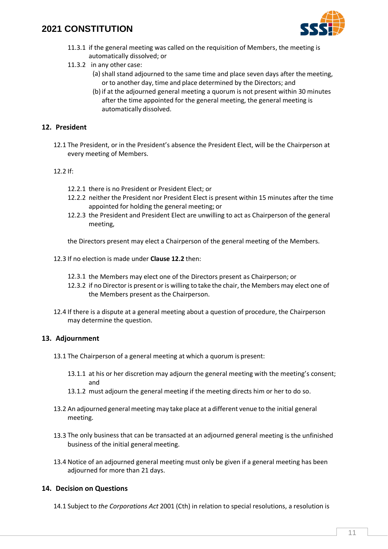

- 11.3.1 if the general meeting was called on the requisition of Members, the meeting is automatically dissolved; or
- 11.3.2 in any other case:
	- (a) shall stand adjourned to the same time and place seven days after the meeting, or to another day, time and place determined by the Directors; and
	- (b) if at the adjourned general meeting a quorum is not present within 30 minutes after the time appointed for the general meeting, the general meeting is automatically dissolved.

### <span id="page-10-0"></span>**12. President**

12.1 The President, or in the President's absence the President Elect, will be the Chairperson at every meeting of Members.

#### <span id="page-10-1"></span>12.2 If:

- 12.2.1 there is no President or President Elect; or
- 12.2.2 neither the President nor President Elect is present within 15 minutes after the time appointed for holding the general meeting; or
- 12.2.3 the President and President Elect are unwilling to act as Chairperson of the general meeting,

the Directors present may elect a Chairperson of the general meeting of the Members.

- 12.3 If no election is made under **Clause [12.2](#page-10-1)** then:
	- 12.3.1 the Members may elect one of the Directors present as Chairperson; or
	- 12.3.2 if no Directoris present oris willing to take the chair, the Members may elect one of the Members present as the Chairperson.
- 12.4 If there is a dispute at a general meeting about a question of procedure, the Chairperson may determine the question.

#### **13. Adjournment**

- 13.1 The Chairperson of a general meeting at which a quorum is present:
	- 13.1.1 at his or her discretion may adjourn the general meeting with the meeting's consent; and
	- 13.1.2 must adjourn the general meeting if the meeting directs him or her to do so.
- 13.2 An adjourned general meeting may take place at a different venue to the initial general meeting.
- 13.3 The only business that can be transacted at an adjourned general meeting is the unfinished business of the initial general meeting.
- 13.4 Notice of an adjourned general meeting must only be given if a general meeting has been adjourned for more than 21 days.

### **14. Decision on Questions**

14.1 Subject to *the Corporations Act* 2001 (Cth) in relation to special resolutions, a resolution is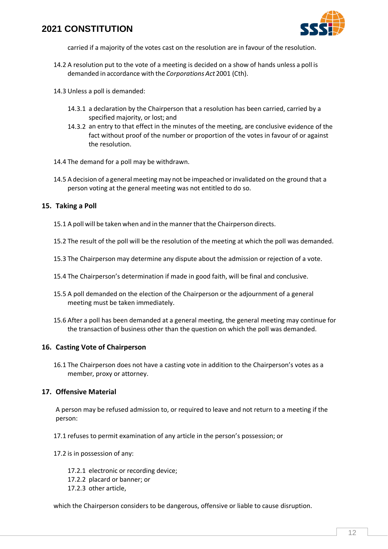

carried if a majority of the votes cast on the resolution are in favour of the resolution.

- 14.2 A resolution put to the vote of a meeting is decided on a show of hands unless a poll is demanded in accordance with the *Corporations Act* 2001 (Cth).
- 14.3 Unless a poll is demanded:
	- 14.3.1 a declaration by the Chairperson that a resolution has been carried, carried by a specified majority, or lost; and
	- 14.3.2 an entry to that effect in the minutes of the meeting, are conclusive evidence of the fact without proof of the number or proportion of the votes in favour of or against the resolution.
- 14.4 The demand for a poll may be withdrawn.
- 14.5 A decision of a general meeting may not be impeached or invalidated on the ground that a person voting at the general meeting was not entitled to do so.

#### **15. Taking a Poll**

- 15.1 A poll will be taken when and in the manner that the Chairperson directs.
- 15.2 The result of the poll will be the resolution of the meeting at which the poll was demanded.
- 15.3 The Chairperson may determine any dispute about the admission or rejection of a vote.
- 15.4 The Chairperson's determination if made in good faith, will be final and conclusive.
- 15.5 A poll demanded on the election of the Chairperson or the adjournment of a general meeting must be taken immediately.
- 15.6 After a poll has been demanded at a general meeting, the general meeting may continue for the transaction of business other than the question on which the poll was demanded.

#### **16. Casting Vote of Chairperson**

16.1 The Chairperson does not have a casting vote in addition to the Chairperson's votes as a member, proxy or attorney.

#### **17. Offensive Material**

A person may be refused admission to, or required to leave and not return to a meeting if the person:

17.1 refuses to permit examination of any article in the person's possession; or

17.2 is in possession of any:

- 17.2.1 electronic or recording device;
- 17.2.2 placard or banner; or
- 17.2.3 other article,

which the Chairperson considers to be dangerous, offensive or liable to cause disruption.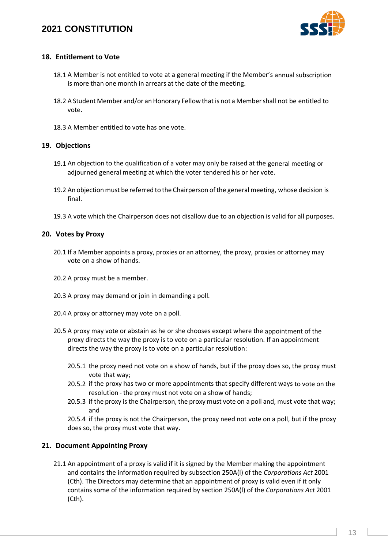

### **18. Entitlement to Vote**

- 18.1 A Member is not entitled to vote at a general meeting if the Member's annual subscription is more than one month in arrears at the date of the meeting.
- 18.2 A Student Member and/or an Honorary Fellow that is not a Member shall not be entitled to vote.
- 18.3 A Member entitled to vote has one vote.

### **19. Objections**

- 19.1 An objection to the qualification of a voter may only be raised at the general meeting or adjourned general meeting at which the voter tendered his or her vote.
- 19.2 An objection must be referred to the Chairperson of the general meeting, whose decision is final.
- 19.3 A vote which the Chairperson does not disallow due to an objection is valid for all purposes.

### **20. Votes by Proxy**

- 20.1 If a Member appoints a proxy, proxies or an attorney, the proxy, proxies or attorney may vote on a show of hands.
- 20.2 A proxy must be a member.
- 20.3 A proxy may demand or join in demanding a poll.
- 20.4 A proxy or attorney may vote on a poll.
- 20.5 A proxy may vote or abstain as he or she chooses except where the appointment of the proxy directs the way the proxy is to vote on a particular resolution. If an appointment directs the way the proxy is to vote on a particular resolution:
	- 20.5.1 the proxy need not vote on a show of hands, but if the proxy does so, the proxy must vote that way;
	- 20.5.2 if the proxy has two or more appointments that specify different ways to vote on the resolution - the proxy must not vote on a show of hands;
	- 20.5.3 if the proxy is the Chairperson, the proxy must vote on a poll and, must vote that way; and
	- 20.5.4 if the proxy is not the Chairperson, the proxy need not vote on a poll, but if the proxy does so, the proxy must vote that way.

### **21. Document Appointing Proxy**

21.1 An appointment of a proxy is valid if it is signed by the Member making the appointment and contains the information required by subsection 250A(l) of the *Corporations Act* 2001 (Cth). The Directors may determine that an appointment of proxy is valid even if it only contains some of the information required by section 250A(l) of the *Corporations Act* 2001 (Cth).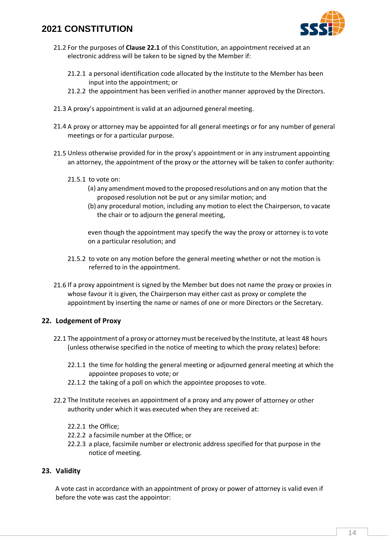

- 21.2 For the purposes of **Claus[e 22.1](#page-13-0)** of this Constitution, an appointment received at an electronic address will be taken to be signed by the Member if:
	- 21.2.1 a personal identification code allocated by the Institute to the Member has been input into the appointment; or
	- 21.2.2 the appointment has been verified in another manner approved by the Directors.
- 21.3 A proxy's appointment is valid at an adjourned general meeting.
- 21.4 A proxy or attorney may be appointed for all general meetings or for any number of general meetings or for a particular purpose.
- 21.5 Unless otherwise provided for in the proxy's appointment or in any instrument appointing an attorney, the appointment of the proxy or the attorney will be taken to confer authority:
	- 21.5.1 to vote on:
		- (a) any amendment moved to the proposed resolutions and on any motion that the proposed resolution not be put or any similar motion; and
		- (b) any procedural motion, including any motion to elect the Chairperson, to vacate the chair or to adjourn the general meeting,

even though the appointment may specify the way the proxy or attorney is to vote on a particular resolution; and

- 21.5.2 to vote on any motion before the general meeting whether or not the motion is referred to in the appointment.
- 21.6 If a proxy appointment is signed by the Member but does not name the proxy or proxies in whose favour it is given, the Chairperson may either cast as proxy or complete the appointment by inserting the name or names of one or more Directors or the Secretary.

### **22. Lodgement of Proxy**

- <span id="page-13-0"></span>22.1 The appointment of a proxy or attorney must be received by the Institute, at least 48 hours (unless otherwise specified in the notice of meeting to which the proxy relates) before:
	- 22.1.1 the time for holding the general meeting or adjourned general meeting at which the appointee proposes to vote; or
	- 22.1.2 the taking of a poll on which the appointee proposes to vote.
- 22.2 The Institute receives an appointment of a proxy and any power of attorney or other authority under which it was executed when they are received at:
	- 22.2.1 the Office;
	- 22.2.2 a facsimile number at the Office; or
	- 22.2.3 a place, facsimile number or electronic address specified for that purpose in the notice of meeting.

### **23. Validity**

A vote cast in accordance with an appointment of proxy or power of attorney is valid even if before the vote was cast the appointor: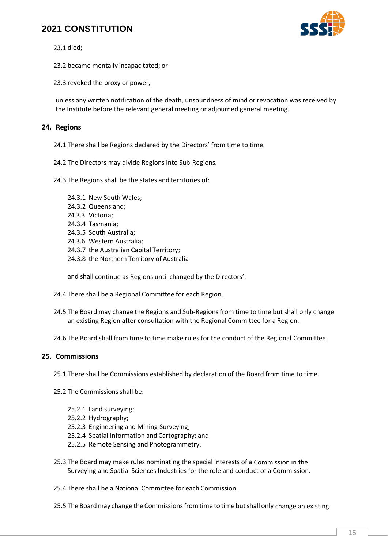

23.1 died;

23.2 became mentally incapacitated; or

23.3 revoked the proxy or power,

unless any written notification of the death, unsoundness of mind or revocation was received by the Institute before the relevant general meeting or adjourned general meeting.

### **24. Regions**

24.1 There shall be Regions declared by the Directors' from time to time.

<span id="page-14-0"></span>24.2 The Directors may divide Regions into Sub-Regions.

24.3 The Regions shall be the states and territories of:

24.3.1 New South Wales; 24.3.2 Queensland; 24.3.3 Victoria; 24.3.4 Tasmania; 24.3.5 South Australia; 24.3.6 Western Australia; 24.3.7 the Australian Capital Territory; 24.3.8 the Northern Territory of Australia

and shall continue as Regions until changed by the Directors'.

- 24.4 There shall be a Regional Committee for each Region.
- 24.5 The Board may change the Regions and Sub-Regions from time to time but shall only change an existing Region after consultation with the Regional Committee for a Region.
- 24.6 The Board shall from time to time make rules for the conduct of the Regional Committee.

### <span id="page-14-1"></span>**25. Commissions**

25.1 There shall be Commissions established by declaration of the Board from time to time.

- 25.2 The Commissions shall be:
	- 25.2.1 Land surveying;
	- 25.2.2 Hydrography;
	- 25.2.3 Engineering and Mining Surveying;
	- 25.2.4 Spatial Information and Cartography; and
	- 25.2.5 Remote Sensing and Photogrammetry.
- 25.3 The Board may make rules nominating the special interests of a Commission in the Surveying and Spatial Sciences Industries for the role and conduct of a Commission.
- 25.4 There shall be a National Committee for each Commission.
- 25.5 The Board may change the Commissions from time to time but shall only change an existing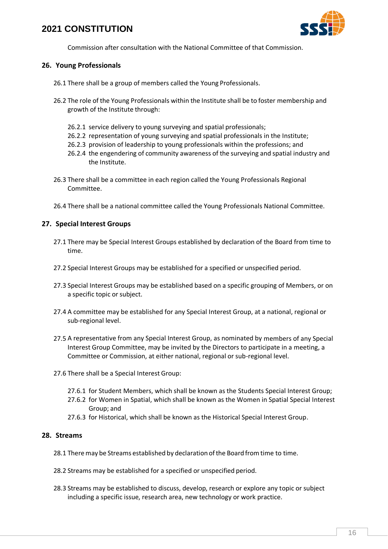

Commission after consultation with the National Committee of that Commission.

### <span id="page-15-1"></span>**26. Young Professionals**

- 26.1 There shall be a group of members called the Young Professionals.
- 26.2 The role of the Young Professionals within the Institute shall be to foster membership and growth of the Institute through:
	- 26.2.1 service delivery to young surveying and spatial professionals;
	- 26.2.2 representation of young surveying and spatial professionals in the Institute;
	- 26.2.3 provision of leadership to young professionals within the professions; and
	- 26.2.4 the engendering of community awareness of the surveying and spatial industry and the Institute.
- 26.3 There shall be a committee in each region called the Young Professionals Regional Committee.
- 26.4 There shall be a national committee called the Young Professionals National Committee.

# **27. Special Interest Groups**

- 27.1 There may be Special Interest Groups established by declaration of the Board from time to time.
- 27.2 Special Interest Groups may be established for a specified or unspecified period.
- 27.3 Special Interest Groups may be established based on a specific grouping of Members, or on a specific topic or subject.
- 27.4 A committee may be established for any Special Interest Group, at a national, regional or sub-regional level.
- 27.5 A representative from any Special Interest Group, as nominated by members of any Special Interest Group Committee, may be invited by the Directors to participate in a meeting, a Committee or Commission, at either national, regional or sub-regional level.
- 27.6 There shall be a Special Interest Group:
	- 27.6.1 for Student Members, which shall be known as the Students Special Interest Group;
	- 27.6.2 for Women in Spatial, which shall be known as the Women in Spatial Special Interest Group; and
	- 27.6.3 for Historical, which shall be known as the Historical Special Interest Group.

### <span id="page-15-0"></span>**28. Streams**

- 28.1 Theremay be Streams established by declarationofthe Boardfromtime to time.
- 28.2 Streams may be established for a specified or unspecified period.
- 28.3 Streams may be established to discuss, develop, research or explore any topic or subject including a specific issue, research area, new technology or work practice.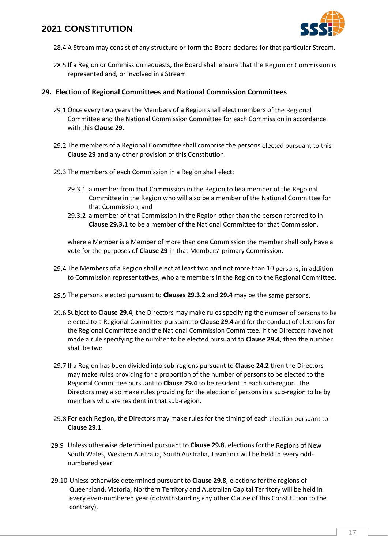

- 28.4 A Stream may consist of any structure or form the Board declares for that particular Stream.
- 28.5 If a Region or Commission requests, the Board shall ensure that the Region or Commission is represented and, or involved in a Stream.

### <span id="page-16-0"></span>**29. Election of Regional Committees and National Commission Committees**

- <span id="page-16-2"></span>29.1 Once every two years the Members of a Region shall elect members of the Regional Committee and the National Commission Committee for each Commission in accordance with this **Clause [29](#page-16-0)**.
- 29.2 The members of a Regional Committee shall comprise the persons elected pursuant to this **Clause [29](#page-16-0)** and any other provision of this Constitution.
- 29.3 The members of each Commission in a Region shall elect:
	- 29.3.1 a member from that Commission in the Region to bea member of the Regoinal Committee in the Region who will also be a member of the National Committee for that Commission; and
	- 29.3.2 a member of that Commission in the Region other than the person referred to in **Clause 29.3.1** to be a member of the National Committee for that Commission,

where a Member is a Member of more than one Commission the member shall only have a vote for the purposes of **Clause 29** in that Members' primary Commission.

- <span id="page-16-1"></span>29.4 The Members of a Region shall elect at least two and not more than 10 persons, in addition to Commission representatives, who are members in the Region to the Regional Committee.
- 29.5 The persons elected pursuant to **Clauses 29.3.2** and **[29.4](#page-16-1)** may be the same persons.
- 29.6 Subject to **Clause [29.4](#page-16-1)**, the Directors may make rules specifying the number of persons to be elected to a Regional Committee pursuant to **Clause [29.4](#page-16-1)** and forthe conduct of electionsfor the Regional Committee and the National Commission Committee. If the Directors have not made a rule specifying the number to be elected pursuant to **Clause [29.4](#page-16-1)**, then the number shall be two.
- 29.7 If a Region has been divided into sub-regions pursuant to **Clause [24.2](#page-14-0)** then the Directors may make rules providing for a proportion of the number of personsto be elected to the Regional Committee pursuant to **Clause [29.4](#page-16-1)** to be resident in each sub-region. The Directors may also make rules providing for the election of persons in a sub-region to be by members who are resident in that sub-region.
- <span id="page-16-3"></span>29.8 For each Region, the Directors may make rules for the timing of each election pursuant to **Clause [29.1](#page-16-2)**.
- <span id="page-16-4"></span>29.9 Unless otherwise determined pursuant to **Clause [29.8](#page-16-3)**, elections forthe Regions of New South Wales, Western Australia, South Australia, Tasmania will be held in every oddnumbered year.
- <span id="page-16-5"></span>29.10 Unless otherwise determined pursuant to **Claus[e 29.8](#page-16-3)**, elections forthe regions of Queensland, Victoria, Northern Territory and Australian Capital Territory will be held in every even-numbered year (notwithstanding any other Clause of this Constitution to the contrary).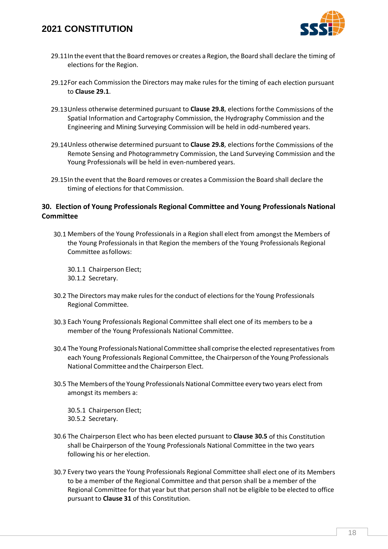

- 29.11In the event that the Board removes or creates a Region, the Board shall declare the timing of elections for the Region.
- 29.12For each Commission the Directors may make rules for the timing of each election pursuant to **Clause [29.1](#page-16-2)**.
- 29.13Unless otherwise determined pursuant to **Clause [29.8](#page-16-3)**, elections forthe Commissions of the Spatial Information and Cartography Commission, the Hydrography Commission and the Engineering and Mining Surveying Commission will be held in odd-numbered years.
- 29.14Unless otherwise determined pursuant to **Clause [29.8](#page-16-3)**, elections forthe Commissions of the Remote Sensing and Photogrammetry Commission, the Land Surveying Commission and the Young Professionals will be held in even-numbered years.
- 29.15In the event that the Board removes or creates a Commission the Board shall declare the timing of elections for that Commission.

### <span id="page-17-1"></span>**30. Election of Young Professionals Regional Committee and Young Professionals National Committee**

30.1 Members of the Young Professionals in a Region shall elect from amongst the Members of the Young Professionals in that Region the members of the Young Professionals Regional Committee asfollows:

30.1.1 Chairperson Elect; 30.1.2 Secretary.

- 30.2 The Directors may make rules for the conduct of elections for the Young Professionals Regional Committee.
- 30.3 Each Young Professionals Regional Committee shall elect one of its members to be a member of the Young Professionals National Committee.
- 30.4 The Young Professionals National Committee shall comprise the elected representatives from each Young Professionals Regional Committee, the Chairperson of the Young Professionals National Committee and the Chairperson Elect.
- <span id="page-17-0"></span>30.5 The Members of the Young Professionals National Committee every two years elect from amongst its members a:

30.5.1 Chairperson Elect; 30.5.2 Secretary.

- 30.6 The Chairperson Elect who has been elected pursuant to **Clause [30.5](#page-17-0)** of this Constitution shall be Chairperson of the Young Professionals National Committee in the two years following his or her election.
- 30.7 Every two years the Young Professionals Regional Committee shall elect one of its Members to be a member of the Regional Committee and that person shall be a member of the Regional Committee for that year but that person shall not be eligible to be elected to office pursuant to **Clause [31](#page-18-0)** of this Constitution.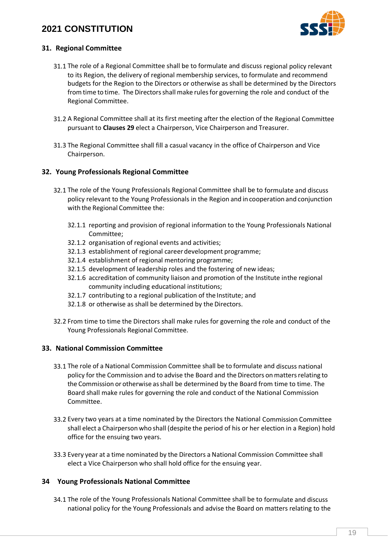

### <span id="page-18-0"></span>**31. Regional Committee**

- 31.1 The role of a Regional Committee shall be to formulate and discuss regional policy relevant to its Region, the delivery of regional membership services, to formulate and recommend budgets for the Region to the Directors or otherwise as shall be determined by the Directors from time to time. The Directors shall make rules for governing the role and conduct of the Regional Committee.
- 31.2 A Regional Committee shall at its first meeting after the election of the Regional Committee pursuant to **Clauses [29](#page-16-0)** elect a Chairperson, Vice Chairperson and Treasurer.
- 31.3 The Regional Committee shall fill a casual vacancy in the office of Chairperson and Vice Chairperson.

### **32. Young Professionals Regional Committee**

- 32.1 The role of the Young Professionals Regional Committee shall be to formulate and discuss policy relevant to the Young Professionals in the Region and incooperation and conjunction with the Regional Committee the:
	- 32.1.1 reporting and provision of regional information to the Young Professionals National Committee;
	- 32.1.2 organisation of regional events and activities;
	- 32.1.3 establishment of regional careerdevelopment programme;
	- 32.1.4 establishment of regional mentoring programme;
	- 32.1.5 development of leadership roles and the fostering of new ideas;
	- 32.1.6 accreditation of community liaison and promotion of the Institute inthe regional community including educational institutions;
	- 32.1.7 contributing to a regional publication of the Institute; and
	- 32.1.8 or otherwise as shall be determined by the Directors.
- 32.2 From time to time the Directors shall make rules for governing the role and conduct of the Young Professionals Regional Committee.

### **33. National Commission Committee**

- 33.1 The role of a National Commission Committee shall be to formulate and discuss national policy for the Commission and to advise the Board and the Directors onmattersrelating to the Commission or otherwise asshall be determined by the Board from time to time. The Board shall make rules for governing the role and conduct of the National Commission Committee.
- 33.2 Every two years at a time nominated by the Directors the National Commission Committee shall elect a Chairperson who shall (despite the period of his or her election in a Region) hold office for the ensuing two years.
- 33.3 Every year at a time nominated by the Directors a National Commission Committee shall elect a Vice Chairperson who shall hold office for the ensuing year.

#### **34 Young Professionals National Committee**

34.1 The role of the Young Professionals National Committee shall be to formulate and discuss national policy for the Young Professionals and advise the Board on matters relating to the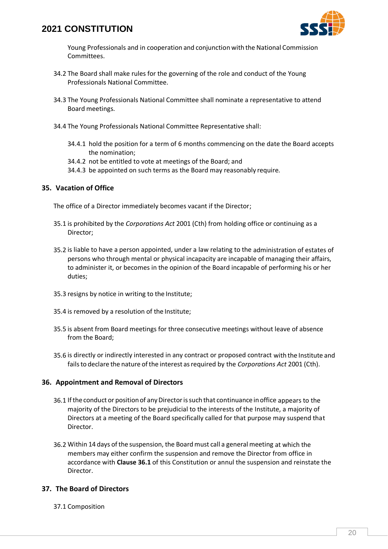

Young Professionals and in cooperation and conjunction with the National Commission Committees.

- 34.2 The Board shall make rules for the governing of the role and conduct of the Young Professionals National Committee.
- <span id="page-19-1"></span>34.3 The Young Professionals National Committee shall nominate a representative to attend Board meetings.
- 34.4 The Young Professionals National Committee Representative shall:
	- 34.4.1 hold the position for a term of 6 months commencing on the date the Board accepts the nomination;
	- 34.4.2 not be entitled to vote at meetings of the Board; and
	- 34.4.3 be appointed on such terms as the Board may reasonably require.

### **35. Vacation of Office**

The office of a Director immediately becomes vacant if the Director;

- 35.1 is prohibited by the *Corporations Act* 2001 (Cth) from holding office or continuing as a Director;
- 35.2 is liable to have a person appointed, under a law relating to the administration of estates of persons who through mental or physical incapacity are incapable of managing their affairs, to administer it, or becomes in the opinion of the Board incapable of performing his or her duties;
- 35.3 resigns by notice in writing to the Institute;
- 35.4 is removed by a resolution of the Institute;
- 35.5 is absent from Board meetings for three consecutive meetings without leave of absence from the Board;
- 35.6 is directly or indirectly interested in any contract or proposed contract with the Institute and fails to declare the nature of the interest as required by the *Corporations Act* 2001 (Cth).

### **36. Appointment and Removal of Directors**

- <span id="page-19-0"></span>36.1 If the conduct or position of any Director is such that continuance in office appears to the majority of the Directors to be prejudicial to the interests of the Institute, a majority of Directors at a meeting of the Board specifically called for that purpose may suspend that Director.
- 36.2 Within 14 days of the suspension, the Boardmust call a general meeting at which the members may either confirm the suspension and remove the Director from office in accordance with **Clause [36.1](#page-19-0)** of this Constitution or annul the suspension and reinstate the Director.

### **37. The Board of Directors**

37.1 Composition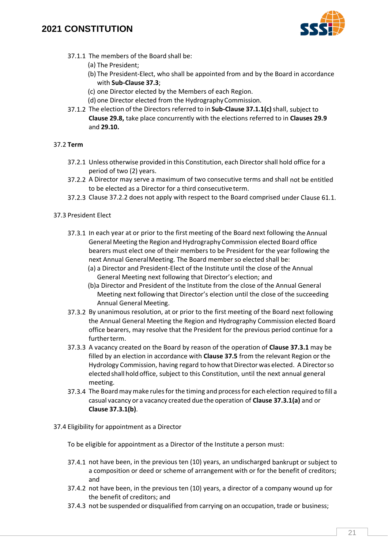

- 37.1.1 The members of the Board shall be:
	- (a) The President;
	- (b) The President-Elect, who shall be appointed from and by the Board in accordance with **Sub-Clause [37.3](#page-20-0)**;
	- (c) one Director elected by the Members of each Region.
	- (d) one Director elected from the HydrographyCommission.
- <span id="page-20-1"></span>37.1.2 The election of the Directors referred to in **Sub-Clause [37.1.1\(c\)](#page-20-1)**shall, subject to **Clause [29.8,](#page-16-3)** take place concurrently with the elections referred to in **Clauses [29.9](#page-16-4)**  and **[29.10.](#page-16-5)**

### 37.2 **Term**

- 37.2.1 Unless otherwise provided in this Constitution, each Directorshall hold office for a period of two (2) years.
- <span id="page-20-2"></span>37.2.2 A Director may serve a maximum of two consecutive terms and shall not be entitled to be elected as a Director for a third consecutiveterm.
- 37.2.3 Claus[e 37.2.2](#page-20-2) does not apply with respect to the Board comprised under Clause [61.1.](#page-31-0)
- <span id="page-20-5"></span><span id="page-20-4"></span><span id="page-20-3"></span><span id="page-20-0"></span>37.3 President Elect
	- 37.3.1 In each year at or prior to the first meeting of the Board next following the Annual General Meeting the Region and Hydrography Commission elected Board office bearers must elect one of their members to be President for the year following the next Annual GeneralMeeting. The Board member so elected shall be:
		- (a) a Director and President-Elect of the Institute until the close of the Annual General Meeting next following that Director's election; and
		- (b)a Director and President of the Institute from the close of the Annual General Meeting next following that Director's election until the close of the succeeding Annual General Meeting.
	- 37.3.2 By unanimous resolution, at or prior to the first meeting of the Board next following the Annual General Meeting the Region and Hydrography Commission elected Board office bearers, may resolve that the President for the previous period continue for a further term.
	- 37.3.3 A vacancy created on the Board by reason of the operation of **Clause [37.3.1](#page-20-3)** may be filled by an election in accordance with **Clause [37.5](#page-21-0)** from the relevant Region or the Hydrology Commission, having regard to how that Director was elected. A Director so elected shall holdoffice, subject to this Constitution, until the next annual general meeting.
	- 37.3.4 The Board may make rules for the timing and process for each election required to fill a casual vacancy or a vacancy created due the operation of **Clause [37.3.1\(a\)](#page-20-4)** and or **Clause [37.3.1\(b\)](#page-20-5)**.
- 37.4 Eligibility for appointment as a Director

To be eligible for appointment as a Director of the Institute a person must:

- 37.4.1 not have been, in the previous ten (10) years, an undischarged bankrupt or subject to a composition or deed or scheme of arrangement with or for the benefit of creditors; and
- 37.4.2 not have been, in the previous ten (10) years, a director of a company wound up for the benefit of creditors; and
- 37.4.3 not be suspended or disqualified from carrying on an occupation, trade or business;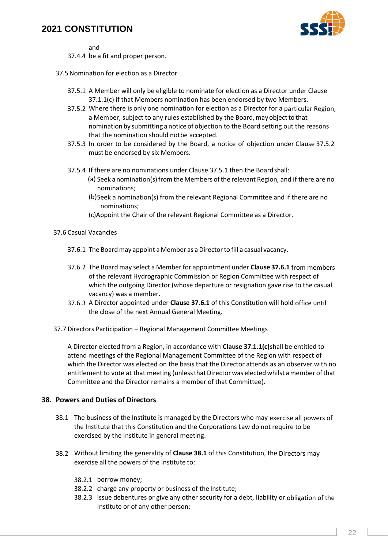

and

- 37.4.4 be a fit and proper person.
- <span id="page-21-2"></span><span id="page-21-1"></span><span id="page-21-0"></span>37.5Nomination for election as a Director
	- 37.5.1 A Member will only be eligible to nominate for election as a Director under Clause [37.1.1\(c\)](#page-20-1) if that Members nomination has been endorsed by two Members.
	- 37.5.2 Where there is only one nomination for election as a Director for a particular Region, a Member, subject to any rules established by the Board, may object to that nomination by submitting a notice of objection to the Board setting out the reasons that the nomination should notbe accepted.
	- 37.5.3 In order to be considered by the Board, a notice of objection under Claus[e 37.5.2](#page-21-1)  must be endorsed by six Members.
	- 37.5.4 If there are no nominations under Clause [37.5.1 t](#page-21-2)hen the Boardshall:
		- (a) Seek a nomination(s) from the Members of the relevant Region, and if there are no nominations;
		- (b)Seek a nomination(s) from the relevant Regional Committee and if there are no nominations;
		- (c)Appoint the Chair of the relevant Regional Committee as a Director.
- <span id="page-21-3"></span>37.6 Casual Vacancies
	- 37.6.1 The Board may appoint a Member as a Director to fill a casual vacancy.
	- 37.6.2 The Board may select a Member for appointment under **Clause [37.6.1](#page-21-3)** from members of the relevant Hydrographic Commission or Region Committee with respect of which the outgoing Director (whose departure or resignation gave rise to the casual vacancy) was a member.
	- 37.6.3 A Director appointed under **Claus[e 37.6.1](#page-21-3)** of this Constitution will hold office until the close of the next Annual General Meeting.
- 37.7 Directors Participation Regional Management Committee Meetings

A Director elected from a Region, in accordance with **Clause [37.1.1\(c\)](#page-20-1)**shall be entitled to attend meetings of the Regional Management Committee of the Region with respect of which the Director was elected on the basis that the Director attends as an observer with no entitlement to vote at that meeting (unless that Director was elected whilst a member of that Committee and the Director remains a member of that Committee).

#### **38. Powers and Duties of Directors**

- <span id="page-21-4"></span>38.1 The business of the Institute is managed by the Directors who may exercise all powers of the Institute that this Constitution and the Corporations Law do not require to be exercised by the Institute in general meeting.
- 38.2 Without limiting the generality of **Claus[e 38.1](#page-21-4)** of this Constitution, the Directors may exercise all the powers of the Institute to:
	- 38.2.1 borrow money;
	- 38.2.2 charge any property or business of the Institute;
	- 38.2.3 issue debentures or give any other security for a debt, liability or obligation of the Institute or of any other person;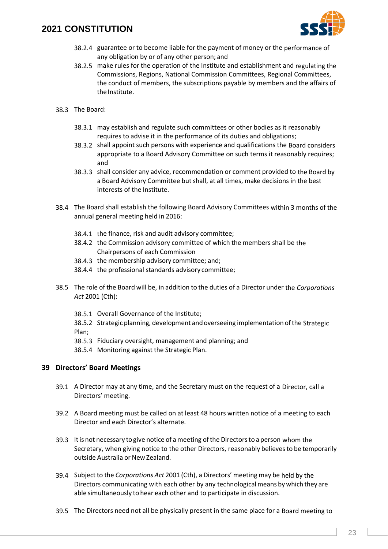

- 38.2.4 guarantee or to become liable for the payment of money or the performance of any obligation by or of any other person; and
- 38.2.5 make rules for the operation of the Institute and establishment and regulating the Commissions, Regions, National Commission Committees, Regional Committees, the conduct of members, the subscriptions payable by members and the affairs of the Institute.
- <span id="page-22-1"></span>38.3 The Board:
	- 38.3.1 may establish and regulate such committees or other bodies as it reasonably requires to advise it in the performance of its duties and obligations;
	- 38.3.2 shall appoint such persons with experience and qualifications the Board considers appropriate to a Board Advisory Committee on such terms it reasonably requires; and
	- 38.3.3 shall consider any advice, recommendation or comment provided to the Board by a Board Advisory Committee but shall, at all times, make decisions in the best interests of the Institute.
- 38.4 The Board shall establish the following Board Advisory Committees within 3 months of the annual general meeting held in 2016:
	- 38.4.1 the finance, risk and audit advisory committee;
	- 38.4.2 the Commission advisory committee of which the members shall be the Chairpersons of each Commission
	- 38.4.3 the membership advisory committee; and;
	- 38.4.4 the professional standards advisory committee;
- 38.5 The role of the Board will be, in addition to the duties of a Director under the *Corporations Act* 2001 (Cth):
	- 38.5.1 Overall Governance of the Institute;

38.5.2 Strategic planning, development andoverseeing implementation ofthe Strategic Plan;

- 38.5.3 Fiduciary oversight, management and planning; and
- 38.5.4 Monitoring against the Strategic Plan.

#### **39 Directors' Board Meetings**

- 39.1 A Director may at any time, and the Secretary must on the request of a Director, call a Directors' meeting.
- 39.2 A Board meeting must be called on at least 48 hours written notice of a meeting to each Director and each Director's alternate.
- 39.3 Itis not necessary togive notice of ameeting ofthe Directorsto a person whom the Secretary, when giving notice to the other Directors, reasonably believes to be temporarily outside Australia or New Zealand.
- <span id="page-22-0"></span>39.4 Subjectto the *Corporations Act* 2001 (Cth), a Directors' meeting may be held by the Directors communicating with each other by any technological means by which they are able simultaneously to hear each other and to participate in discussion.
- 39.5 The Directors need not all be physically present in the same place for a Board meeting to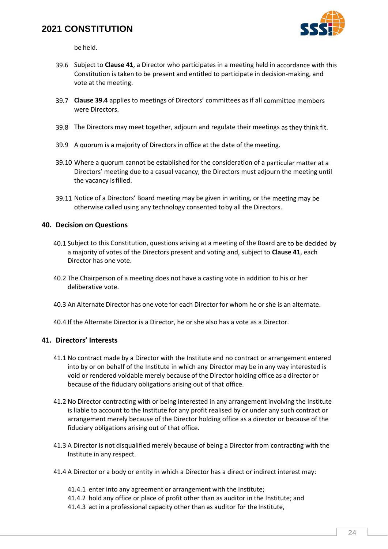

be held.

- 39.6 Subject to **Clause [41](#page-23-0)**, a Director who participates in a meeting held in accordance with this Constitution is taken to be present and entitled to participate in decision-making, and vote at the meeting.
- 39.7 **Clause [39.4](#page-22-0)** applies to meetings of Directors' committees as if all committee members were Directors.
- 39.8 The Directors may meet together, adjourn and regulate their meetings as they think fit.
- 39.9 A quorum is a majority of Directors in office at the date of themeeting.
- 39.10 Where a quorum cannot be established for the consideration of a particular matter at a Directors' meeting due to a casual vacancy, the Directors must adjourn the meeting until the vacancy isfilled.
- 39.11 Notice of a Directors' Board meeting may be given in writing, or the meeting may be otherwise called using any technology consented toby all the Directors.

#### **40. Decision on Questions**

- 40.1 Subject to this Constitution, questions arising at a meeting of the Board are to be decided by a majority of votes of the Directors present and voting and, subject to **Clause [41](#page-23-0)**, each Director has one vote.
- 40.2 The Chairperson of a meeting does not have a casting vote in addition to his or her deliberative vote.
- 40.3 An Alternate Director has one vote for each Director for whom he orshe is an alternate.
- 40.4 If the Alternate Director is a Director, he or she also has a vote as a Director.

### <span id="page-23-0"></span>**41. Directors' Interests**

- 41.1 No contract made by a Director with the Institute and no contract or arrangement entered into by or on behalf of the Institute in which any Director may be in any way interested is void or rendered voidable merely because of the Director holding office as a director or because of the fiduciary obligations arising out of that office.
- 41.2 No Director contracting with or being interested in any arrangement involving the Institute is liable to account to the Institute for any profit realised by or under any such contract or arrangement merely because of the Director holding office as a director or because of the fiduciary obligations arising out of that office.
- 41.3 A Director is not disqualified merely because of being a Director from contracting with the Institute in any respect.
- 41.4 A Director or a body or entity in which a Director has a direct or indirect interest may:
	- 41.4.1 enter into any agreement or arrangement with the Institute;
	- 41.4.2 hold any office or place of profit other than as auditor in the Institute; and
	- 41.4.3 act in a professional capacity other than as auditor for the Institute,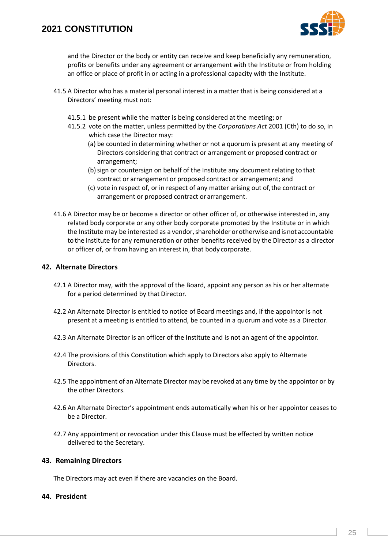

and the Director or the body or entity can receive and keep beneficially any remuneration, profits or benefits under any agreement or arrangement with the Institute or from holding an office or place of profit in or acting in a professional capacity with the Institute.

- 41.5 A Director who has a material personal interest in a matter that is being considered at a Directors' meeting must not:
	- 41.5.1 be present while the matter is being considered at the meeting; or
	- 41.5.2 vote on the matter, unless permitted by the *Corporations Act* 2001 (Cth) to do so, in which case the Director may:
		- (a) be counted in determining whether or not a quorum is present at any meeting of Directors considering that contract or arrangement or proposed contract or arrangement;
		- (b) sign or countersign on behalf of the Institute any document relating to that contract or arrangement or proposed contract or arrangement; and
		- (c) vote in respect of, or in respect of any matter arising out of,the contract or arrangement or proposed contract or arrangement.
- 41.6 A Director may be or become a director or other officer of, or otherwise interested in, any related body corporate or any other body corporate promoted by the Institute or in which the Institute may be interested as a vendor, shareholder or otherwise and is not accountable to the Institute for any remuneration or other benefits received by the Director as a director or officer of, or from having an interest in, that body corporate.

### <span id="page-24-0"></span>**42. Alternate Directors**

- 42.1 A Director may, with the approval of the Board, appoint any person as his or her alternate for a period determined by that Director.
- 42.2 An Alternate Director is entitled to notice of Board meetings and, if the appointor is not present at a meeting is entitled to attend, be counted in a quorum and vote as a Director.
- 42.3 An Alternate Director is an officer of the Institute and is not an agent of the appointor.
- 42.4 The provisions of this Constitution which apply to Directors also apply to Alternate Directors.
- 42.5 The appointment of an Alternate Director may be revoked at any time by the appointor or by the other Directors.
- 42.6 An Alternate Director's appointment ends automatically when his or her appointor ceases to be a Director.
- 42.7 Any appointment or revocation under this Clause must be effected by written notice delivered to the Secretary.

#### **43. Remaining Directors**

The Directors may act even if there are vacancies on the Board.

#### **44. President**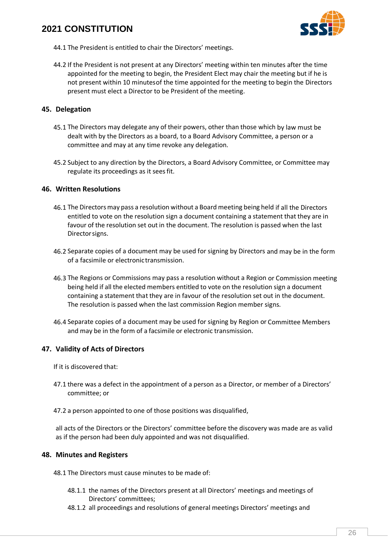

- 44.1 The President is entitled to chair the Directors' meetings.
- 44.2 If the President is not present at any Directors' meeting within ten minutes after the time appointed for the meeting to begin, the President Elect may chair the meeting but if he is not present within 10 minutesof the time appointed for the meeting to begin the Directors present must elect a Director to be President of the meeting.

### **45. Delegation**

- 45.1 The Directors may delegate any of their powers, other than those which by law must be dealt with by the Directors as a board, to a Board Advisory Committee, a person or a committee and may at any time revoke any delegation.
- 45.2 Subject to any direction by the Directors, a Board Advisory Committee, or Committee may regulate its proceedings as it seesfit.

#### <span id="page-25-0"></span>**46. Written Resolutions**

- 46.1 The Directorsmay pass a resolution without a Board meeting being held if all the Directors entitled to vote on the resolution sign a document containing a statement that they are in favour of the resolution set out in the document. The resolution is passed when the last Directorsigns.
- 46.2 Separate copies of a document may be used for signing by Directors and may be in the form of a facsimile or electronic transmission.
- 46.3 The Regions or Commissions may pass a resolution without a Region or Commission meeting being held if all the elected members entitled to vote on the resolution sign a document containing a statement that they are in favour of the resolution set out in the document. The resolution is passed when the last commission Region member signs.
- 46.4 Separate copies of a document may be used for signing by Region or Committee Members and may be in the form of a facsimile or electronic transmission.

### **47. Validity of Acts of Directors**

If it is discovered that:

- 47.1 there was a defect in the appointment of a person as a Director, or member of a Directors' committee; or
- 47.2 a person appointed to one of those positions was disqualified,

all acts of the Directors or the Directors' committee before the discovery was made are as valid as if the person had been duly appointed and was not disqualified.

#### **48. Minutes and Registers**

- 48.1 The Directors must cause minutes to be made of:
	- 48.1.1 the names of the Directors present at all Directors' meetings and meetings of Directors' committees;
	- 48.1.2 all proceedings and resolutions of general meetings Directors' meetings and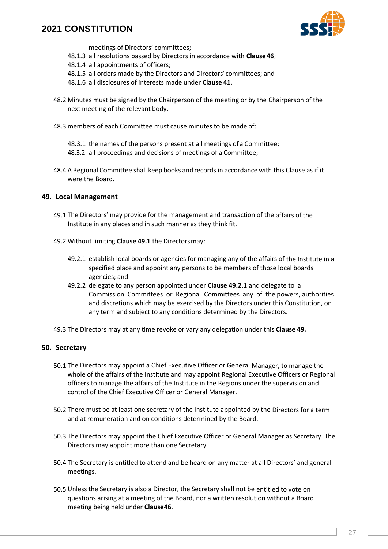

meetings of Directors' committees;

- 48.1.3 all resolutions passed by Directors in accordance with **Clause [46](#page-25-0)**;
- 48.1.4 all appointments of officers;
- 48.1.5 all orders made by the Directors and Directors' committees; and
- 48.1.6 all disclosures of interests made under **Clause [41](#page-23-0)**.
- 48.2 Minutes must be signed by the Chairperson of the meeting or by the Chairperson of the next meeting of the relevant body.
- 48.3 members of each Committee must cause minutes to be made of:
	- 48.3.1 the names of the persons present at all meetings of a Committee;
	- 48.3.2 all proceedings and decisions of meetings of a Committee;
- 48.4 A Regional Committee shall keep books and records in accordance with this Clause as if it were the Board.

#### **49. Local Management**

- <span id="page-26-0"></span>49.1 The Directors' may provide for the management and transaction of the affairs of the Institute in any places and in such manner as they think fit.
- <span id="page-26-1"></span>49.2 Without limiting **Claus[e 49.1](#page-26-0)** the Directorsmay:
	- 49.2.1 establish local boards or agencies for managing any of the affairs of the Institute in a specified place and appoint any persons to be members of those local boards agencies; and
	- 49.2.2 delegate to any person appointed under **Clause [49.2.1](#page-26-1)** and delegate to a Commission Committees or Regional Committees any of the powers, authorities and discretions which may be exercised by the Directors under this Constitution, on any term and subject to any conditions determined by the Directors.
- 49.3 The Directors may at any time revoke or vary any delegation under this **Clause 49.**

#### <span id="page-26-2"></span>**50. Secretary**

- 50.1 The Directors may appoint a Chief Executive Officer or General Manager, to manage the whole of the affairs of the Institute and may appoint Regional Executive Officers or Regional officers to manage the affairs of the Institute in the Regions under the supervision and control of the Chief Executive Officer or General Manager.
- 50.2 There must be at least one secretary of the Institute appointed by the Directors for a term and at remuneration and on conditions determined by the Board.
- 50.3 The Directors may appoint the Chief Executive Officer or General Manager as Secretary. The Directors may appoint more than one Secretary.
- 50.4 The Secretary is entitled to attend and be heard on any matter at all Directors' and general meetings.
- 50.5 Unless the Secretary is also a Director, the Secretary shall not be entitled to vote on questions arising at a meeting of the Board, nor a written resolution without a Board meeting being held under **Claus[e46](#page-25-0)**.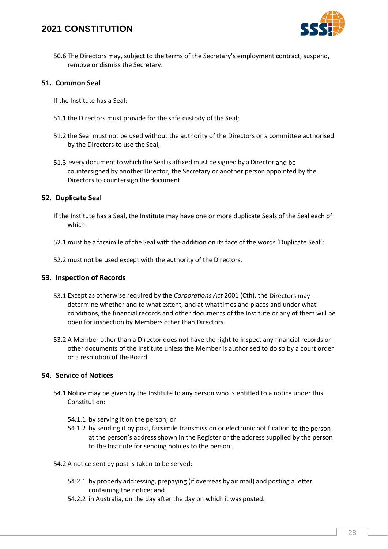

50.6 The Directors may, subject to the terms of the Secretary's employment contract, suspend, remove or dismiss the Secretary.

#### **51. Common Seal**

If the Institute has a Seal:

- 51.1 the Directors must provide for the safe custody of the Seal;
- 51.2 the Seal must not be used without the authority of the Directors or a committee authorised by the Directors to use the Seal;
- 51.3 every document to which the Seal is affixed must be signed by a Director and be countersigned by another Director, the Secretary or another person appointed by the Directors to countersign the document.

#### **52. Duplicate Seal**

- If the Institute has a Seal, the Institute may have one or more duplicate Seals of the Seal each of which:
- 52.1 must be a facsimile of the Seal with the addition on its face of the words 'Duplicate Seal';
- 52.2 must not be used except with the authority of the Directors.

#### **53. Inspection of Records**

- 53.1 Except as otherwise required by the *Corporations Act* 2001 (Cth), the Directors may determine whether and to what extent, and at whattimes and places and under what conditions, the financial records and other documents of the Institute or any of them will be open for inspection by Members other than Directors.
- 53.2 A Member other than a Director does not have the right to inspect any financial records or other documents of the Institute unless the Member is authorised to do so by a court order or a resolution of theBoard.

#### **54. Service of Notices**

- 54.1 Notice may be given by the Institute to any person who is entitled to a notice under this Constitution:
	- 54.1.1 by serving it on the person; or
	- 54.1.2 by sending it by post, facsimile transmission or electronic notification to the person at the person's address shown in the Register or the address supplied by the person to the Institute for sending notices to the person.
- 54.2 A notice sent by post is taken to be served:
	- 54.2.1 by properly addressing, prepaying (if overseas by air mail) and posting a letter containing the notice; and
	- 54.2.2 in Australia, on the day after the day on which it was posted.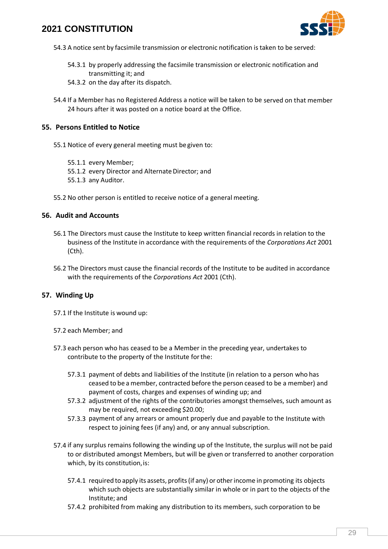

- 54.3 A notice sent by facsimile transmission or electronic notification is taken to be served:
	- 54.3.1 by properly addressing the facsimile transmission or electronic notification and transmitting it; and
	- 54.3.2 on the day after its dispatch.
- 54.4 If a Member has no Registered Address a notice will be taken to be served on that member 24 hours after it was posted on a notice board at the Office.

#### <span id="page-28-0"></span>**55. Persons Entitled to Notice**

- 55.1 Notice of every general meeting must be given to:
	- 55.1.1 every Member;
	- 55.1.2 every Director and Alternate Director; and
	- 55.1.3 any Auditor.
- 55.2 No other person is entitled to receive notice of a general meeting.

### **56. Audit and Accounts**

- 56.1 The Directors must cause the Institute to keep written financial records in relation to the business of the Institute in accordance with the requirements of the *Corporations Act* 2001 (Cth).
- 56.2 The Directors must cause the financial records of the Institute to be audited in accordance with the requirements of the *Corporations Act* 2001 (Cth).

#### **57. Winding Up**

- 57.1 If the Institute is wound up:
- 57.2 each Member; and
- 57.3 each person who has ceased to be a Member in the preceding year, undertakes to contribute to the property of the Institute forthe:
	- 57.3.1 payment of debts and liabilities of the Institute (in relation to a person who has ceased to be a member, contracted before the person ceased to be a member) and payment of costs, charges and expenses of winding up; and
	- 57.3.2 adjustment of the rights of the contributories amongst themselves, such amount as may be required, not exceeding \$20.00;
	- 57.3.3 payment of any arrears or amount properly due and payable to the Institute with respect to joining fees (if any) and, or any annual subscription.
- 57.4 if any surplus remains following the winding up of the Institute, the surplus will not be paid to or distributed amongst Members, but will be given or transferred to another corporation which, by its constitution, is:
	- 57.4.1 required to apply its assets, profits(if any) or otherincome in promoting its objects which such objects are substantially similar in whole or in part to the objects of the Institute; and
	- 57.4.2 prohibited from making any distribution to its members, such corporation to be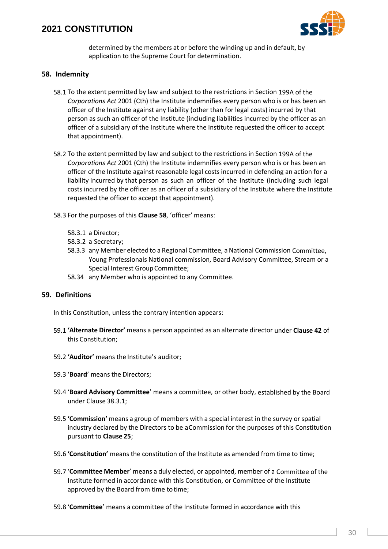

determined by the members at or before the winding up and in default, by application to the Supreme Court for determination.

### <span id="page-29-0"></span>**58. Indemnity**

- 58.1 To the extent permitted by law and subject to the restrictions in Section 199A of the *Corporations Act* 2001 (Cth) the Institute indemnifies every person who is or has been an officer of the Institute against any liability (other than for legal costs) incurred by that person as such an officer of the Institute (including liabilities incurred by the officer as an officer of a subsidiary of the Institute where the Institute requested the officer to accept that appointment).
- 58.2 To the extent permitted by law and subject to the restrictions in Section 199A of the *Corporations Act* 2001 (Cth) the Institute indemnifies every person who is or has been an officer of the Institute against reasonable legal costs incurred in defending an action for a liability incurred by that person as such an officer of the Institute (including such legal costs incurred by the officer as an officer of a subsidiary of the Institute where the Institute requested the officer to accept that appointment).
- 58.3 For the purposes of this **Claus[e 58](#page-29-0)**, 'officer' means:
	- 58.3.1 a Director;
	- 58.3.2 a Secretary;
	- 58.3.3 any Member elected to a Regional Committee, aNational Commission Committee, Young Professionals National commission, Board Advisory Committee, Stream or a Special Interest Group Committee;
	- 58.34 any Member who is appointed to any Committee.

#### **59. Definitions**

In this Constitution, unless the contrary intention appears:

- 59.1 **'Alternate Director'** means a person appointed as an alternate director under **Claus[e 42](#page-24-0)** of this Constitution;
- 59.2 **'Auditor'** means the Institute's auditor;
- 59.3 '**Board**' means the Directors;
- 59.4 '**Board Advisory Committee**' means a committee, or other body, established by the Board under Clause [38.3.1;](#page-22-1)
- 59.5 **'Commission'** means a group of members with a special interest in the survey or spatial industry declared by the Directors to be aCommission for the purposes of this Constitution pursuant to **Clause [25](#page-14-1)**;
- 59.6 **'Constitution'** means the constitution of the Institute as amended from time to time;
- 59.7 '**Committee Member**' means a duly elected, or appointed, member of a Committee of the Institute formed in accordance with this Constitution, or Committee of the Institute approved by the Board from time totime;
- 59.8 '**Committee**' means a committee of the Institute formed in accordance with this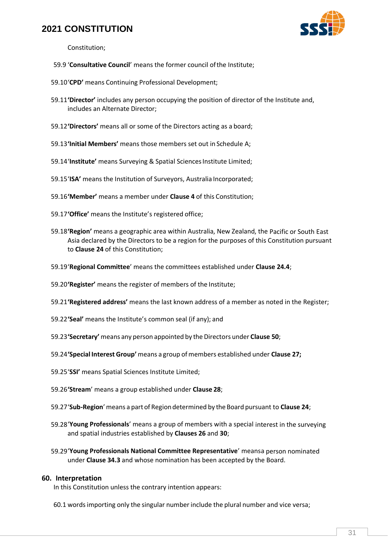

Constitution;

- 59.9 '**Consultative Council**' means the former council ofthe Institute;
- 59.10'**CPD'** means Continuing Professional Development;
- 59.11**'Director'** includes any person occupying the position of director of the Institute and, includes an Alternate Director;
- 59.12**'Directors'** means all or some of the Directors acting as a board;
- 59.13**'Initial Members'** means those members set out in Schedule A;
- 59.14'Institute' means Surveying & Spatial Sciences Institute Limited;
- 59.15'**ISA'** means the Institution of Surveyors, Australia Incorporated;
- 59.16**'Member'** means a member under **Clause 4** of this Constitution;
- 59.17**'Office'** means the Institute's registered office;
- 59.18**'Region'** means a geographic area within Australia, New Zealand, the Pacific or South East Asia declared by the Directors to be a region for the purposes of this Constitution pursuant to **Clause 24** of this Constitution;
- 59.19'**Regional Committee**' means the committees established under **Clause 24.4**;
- 59.20**'Register'** means the register of members of the Institute;
- 59.21**'Registered address'** means the last known address of a member as noted in the Register;
- 59.22**'Seal'** means the Institute's common seal (if any); and
- 59.23**'Secretary'** means any person appointed by the Directors under **Claus[e 50](#page-26-2)**;
- 59.24**'Special Interest Group'** means a group ofmembers established under **Clause 27;**
- 59.25'**SSI'** means Spatial Sciences Institute Limited;
- 59.26**'Stream**' means a group established under **Clause [28](#page-15-0)**;
- 59.27'**Sub-Region**'means a part of Regiondetermined by theBoard pursuant to **Clause 24**;
- 59.28'**Young Professionals**' means a group of members with a special interest in the surveying and spatial industries established by **Clause[s 26](#page-15-1)** and **[30](#page-17-1)**;
- 59.29'**Young Professionals National Committee Representative**' meansa person nominated under **Clause [34.3](#page-19-1)** and whose nomination has been accepted by the Board.

#### **60. Interpretation**

In this Constitution unless the contrary intention appears:

60.1 wordsimporting only the singular number include the plural number and vice versa;